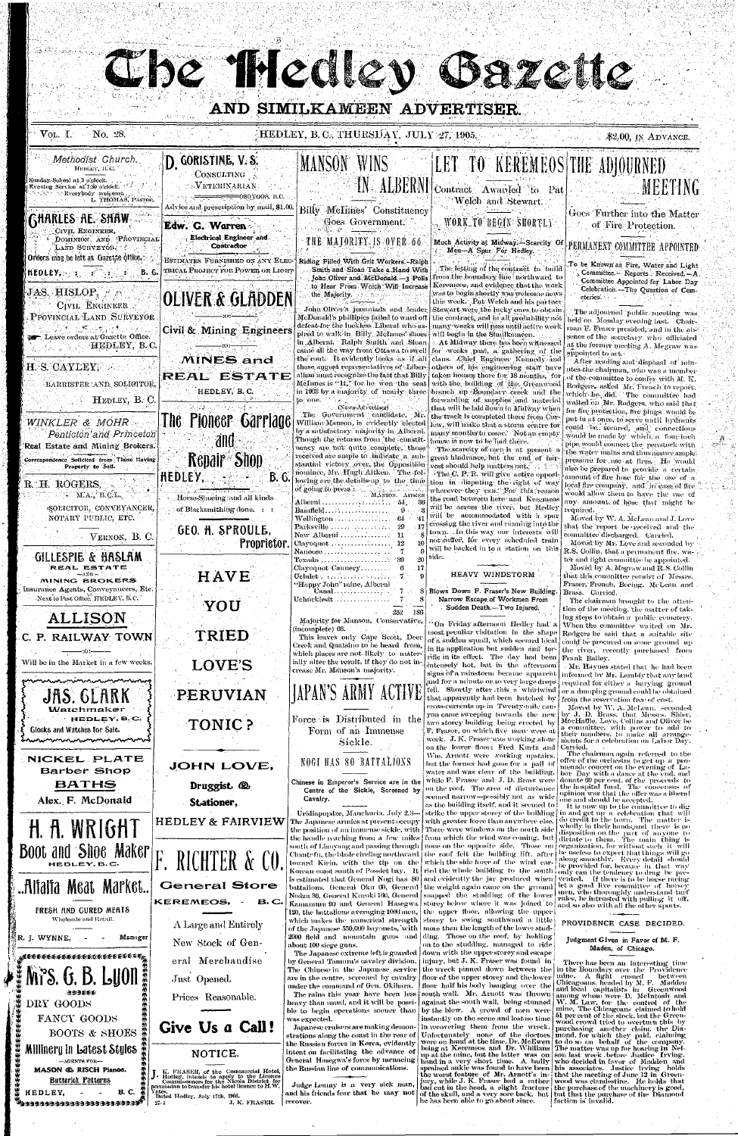# Che Mediev azette

# AND SIMILKAMEEN ADVERTISER

### $\therefore$  \$2.00, IN ADVANCE.

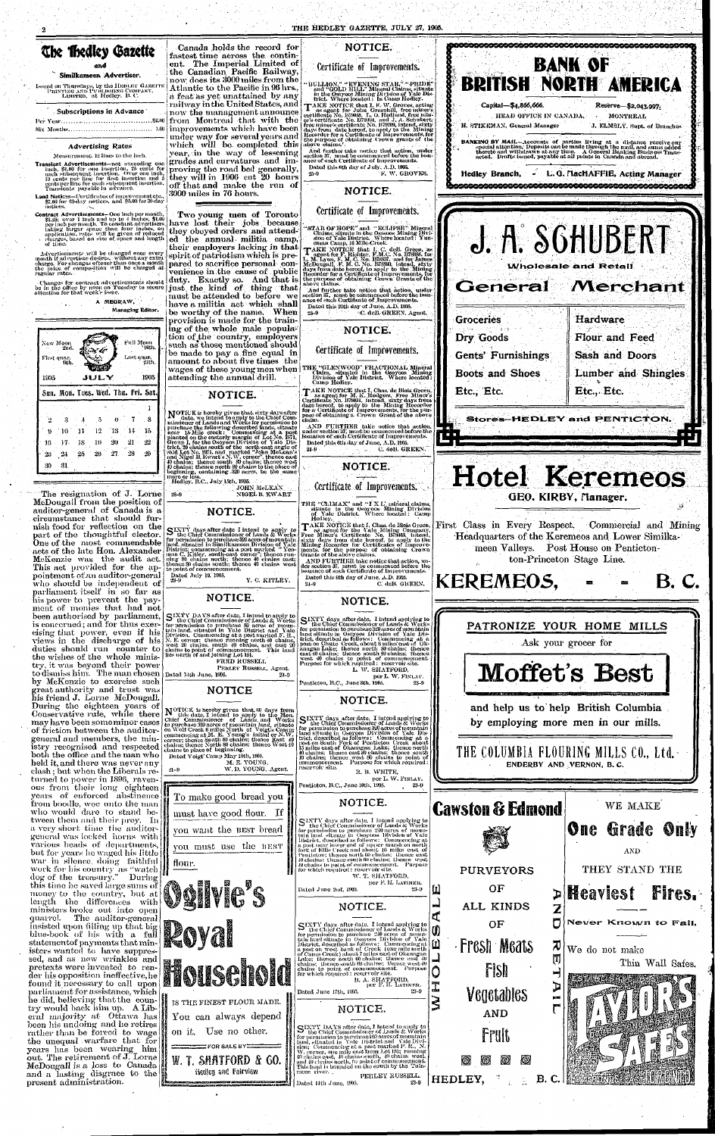### Subscriptions in Advance

### Per Year ,.: .S2.00 Six Months ' 1-00

### Advertising Rates

Measurement. 12 lines to the inch.'

Transient Advertisements—not exceeding one ineli, §1.00 for one insertion. 25 cents for each subsequent insertion. (Ivor one inch, 10 cents per line for (ii-st insertion and 5 edits per lino for each siibsceiucnt insertion. Transients payable in 'advance.

Land Notices—Certificates of improvement etc., [[\]] \$7.00 for 60-day notices, and \$5.00 for 30-day notices,

Contract Advertisements-One inch per month,<br>
\$1.25; over 1 inch and up to 1 inches, \$1.00<br>
per inch per month. To constant advertisers, per inches, on application, rates will be given of reduced delayges, based on size of. space and length of time.

Advertisements will be changed once every month if advertiser desires, without any extraction<br>charge. For changes oftener than once a month<br>the price of composition will be charged at<br>regular rates.

### **The Thedley Gazette** and ! Canada holds the record for

### Similkameen Advertiser.

ssued on Thursdays, by the HEDLEY GAZETTE<br>PRINTING AND PUBLISHING COMPANY,<br>LIMITED, at Hedley. B. C.

•''Changes for contract •advertisements should' be in the office by noon on'Tuesday to secure attention for that week's issue.

 $\mathcal{L}$  .

A MEORAW, Managing Editor.

The resignation of J. Lorne McDougall from the position of auditor-general of Canada is a circumstance that should furnish food for reflection on the part of the thoughtful elector. One of the most commendable acts of the late Hon. Alexander MeKenzie was the audit act. This act provided for the appointment of an auditor-general who should be independent of parliament itself in so far as his power to prevent the payment of monies that had not

3000 miles in 76 hours.

**NOTICE.** 

Dated this 6th day of July. A.D. 1905. •Jo-!) F. W. GROVES.

Dated this 20th day of June. A.D. 1905. 25-9 ; C. deB. GREEN, Agent.

! fastest time across the eontinent. The Imperial Limited of the Canadian Pacific Railway, {now. does its 3000 miles from the Atlantic to the Pacific in 96 hrs., a feat as yet unattained by any railway in the United States, and now the management announce from Montreal that with the improvements which have been under way for several years and which will be completed this year, in the way of lessening; grades and curvatures and improving the road bed generally, they will in 1906 cut 20 hours off that and make the run of "BULLION," "EVENING STAR," "PRIDE"<br>and "GOLD HILL" Mineral Claims, situate<br>in the Osoyoos Mining Division of Yale Dis-<br>trict. Where located : In Gamu Hedley.<br>TAKE NOTICE that I, F. W. Groves, acting<br>as agent for John Gree And further take neitico that action, under section 37, must be commenced before the issu-ance of such Certificate of Improvements.



TAKE NOTICE that I, Chas. de Blois Green, as agent for the Yale Mining Company, sixty days's from date hereof, to apply to the Mining Recorder for Certificates of Improvemining recorder for cortaneates of improve-<br>ments, for the purpose of obtaining Crown<br>Grants of the above claims. AND FURTHER take notice that action, un-

der section 37, must be commenced before the<br>issuance of such Certificate of Improvements. Dated this 6th day of June, *A.D. 190a.*  24-9 C. deB. GREEN.

Certificate of Improvements.

**NOTICE.** 

Certificate of Improvements.

"STAR OF HOPE" and " ECLIPSE" Mineral Claims, situate in the Osessoos Mining Division of Yane District. Where located: Yun-<br>sion of Yale District. Where located: Yun-<br>eman Camp, 16 Mile-Creek.

TAKE NOTICE that I, C. deB. Green, as<br>
I agent for F. Richter, F.M.C. No. 1378885, for<br>
L. M. Lyon, F. M. C. No. 1378885, rand for James<br>
M. Dyon, F. M. C. No. 1378867, and for James<br>
McDougadl, F. M. C. No. 137886, initen

### Two young men of Toronto have lost their jobs because they obeyed orders and attended the annual militia camp, their employers lacking in that spirit of patriotism which is prepared to sacrifice personal- convenience in the cause of public duty. Exactly so. And that is just the kind of thing that must be attended to before we have a militia act which shall be worthy of the name. When provision is made for the training of the whole male population of the country, employers such as those mentioned should be made to pay a fine equal in amount to about five times the wages of these young men when THE "GLENWOOD" FRACTIONAL Mineral Claim, situated in the Osoyoos Mining I Division of Yale District. Where located:

weiged on the comparison with  $\frac{1}{2}$ .

JOHN McLEAN

Y. C. KITLEY.

And further take notice that action, under section 37, must be commenced boforetho issu-ance of such Certificate of Improvements.

**NOTICE.** 

Certificate of Improvements.

Camp Hedley.

**NOTICE.** 

28-9 NIGEL B. KWART

**NOTICE.** 

STETY days after date I intend to apply to<br>the Chief Commissioner of Lands & Works<br>for permission to purchase 320 acres of mountain<br>land, situated in Similkameen Division of Yale<br>District; commencing at a post marked "Yeo

Dated July 19." 1905.

# TAKE NOTICE that I, Chas. de Blois Green, as agent for M. K. Rodgers, Free Miner's Certificate No. B79034, intend, sixty days from date hereof, to apply to the Mining Recorder for a Certificate of Improvements, for the pur

AND FURTHER take notice that action, under section 37, must be commenced before the<br>issuance of such Certificate of Improvements.<br>Inted this <sup>gi</sup>ls day of Inne. A D. 1905. Dated this fith day of June, A.D. 1005.

24-9 C. deB. GREEN.

### **NOTICE.**

**NOTICE.** 

aore or less.<br>Hedley, B.C., July 15th, 1905.

Certificate of Improvements.

THE "CLIMAX" and "I X L'. mineral claims, situate in the Osoyoos Mining Division of Yale District. Where located: Camp Hedley.



## **NOTICE.**